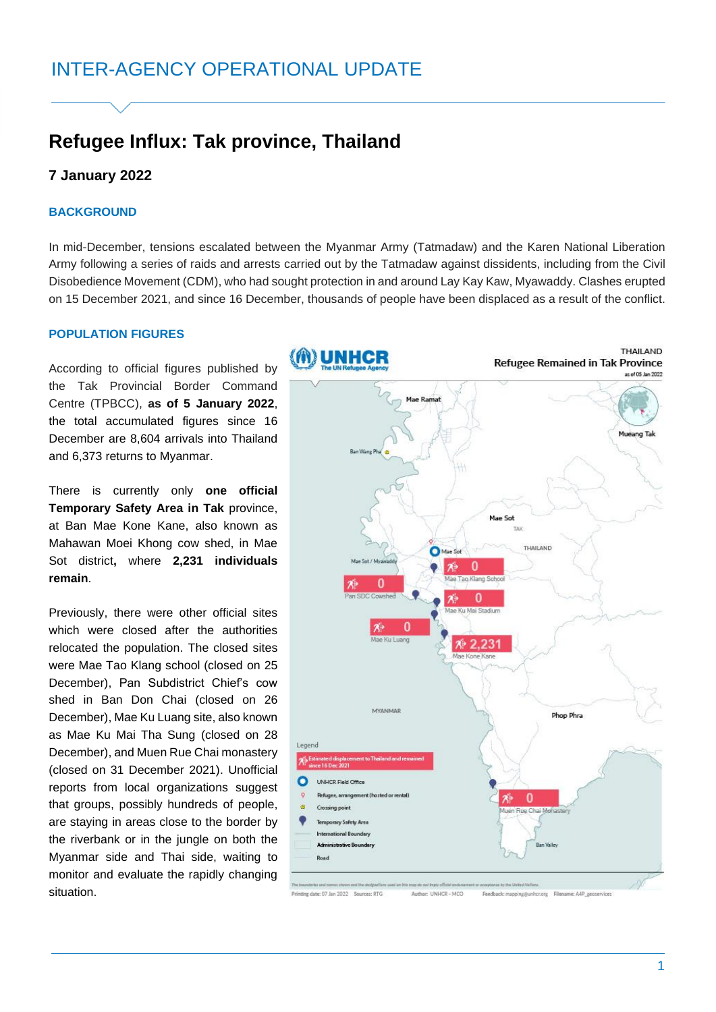# **Refugee Influx: Tak province, Thailand**

## **7 January 2022**

### **BACKGROUND**

In mid-December, tensions escalated between the Myanmar Army (Tatmadaw) and the Karen National Liberation Army following a series of raids and arrests carried out by the Tatmadaw against dissidents, including from the Civil Disobedience Movement (CDM), who had sought protection in and around Lay Kay Kaw, Myawaddy. Clashes erupted on 15 December 2021, and since 16 December, thousands of people have been displaced as a result of the conflict.

#### **POPULATION FIGURES**

According to official figures published by the Tak Provincial Border Command Centre (TPBCC), **as of 5 January 2022**, the total accumulated figures since 16 December are 8,604 arrivals into Thailand and 6,373 returns to Myanmar.

There is currently only **one official Temporary Safety Area in Tak** province, at Ban Mae Kone Kane, also known as Mahawan Moei Khong cow shed, in Mae Sot district**,** where **2,231 individuals remain**.

Previously, there were other official sites which were closed after the authorities relocated the population. The closed sites were Mae Tao Klang school (closed on 25 December), Pan Subdistrict Chief's cow shed in Ban Don Chai (closed on 26 December), Mae Ku Luang site, also known as Mae Ku Mai Tha Sung (closed on 28 December), and Muen Rue Chai monastery (closed on 31 December 2021). Unofficial reports from local organizations suggest that groups, possibly hundreds of people, are staying in areas close to the border by the riverbank or in the jungle on both the Myanmar side and Thai side, waiting to monitor and evaluate the rapidly changing situation.

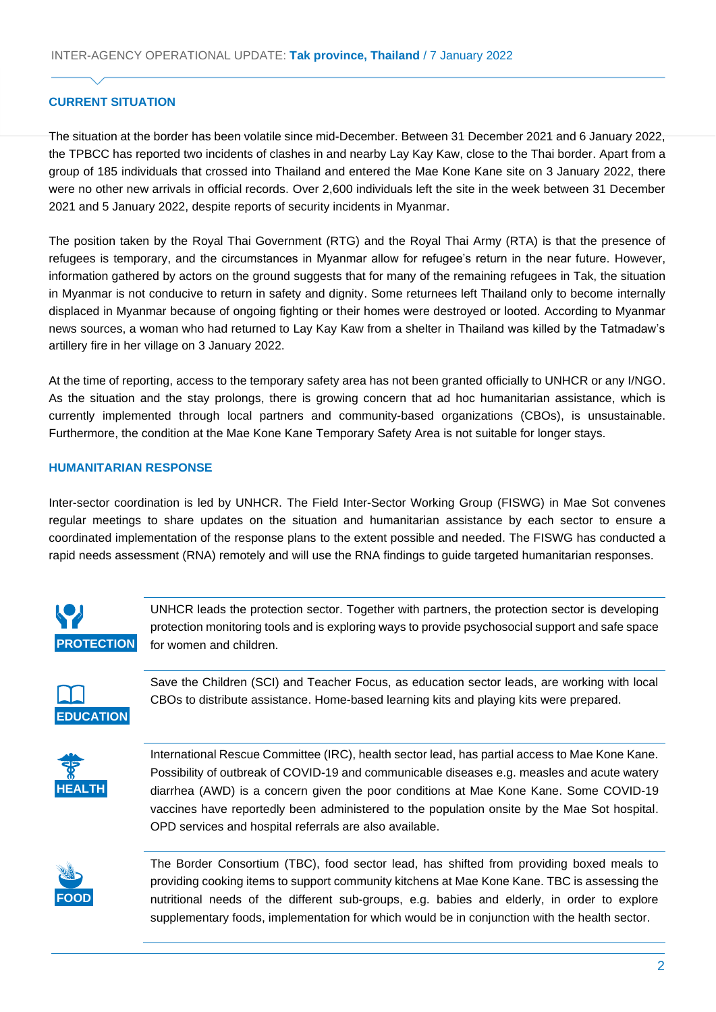## **CURRENT SITUATION**

The situation at the border has been volatile since mid-December. Between 31 December 2021 and 6 January 2022, the TPBCC has reported two incidents of clashes in and nearby Lay Kay Kaw, close to the Thai border. Apart from a group of 185 individuals that crossed into Thailand and entered the Mae Kone Kane site on 3 January 2022, there were no other new arrivals in official records. Over 2,600 individuals left the site in the week between 31 December 2021 and 5 January 2022, despite reports of security incidents in Myanmar.

The position taken by the Royal Thai Government (RTG) and the Royal Thai Army (RTA) is that the presence of refugees is temporary, and the circumstances in Myanmar allow for refugee's return in the near future. However, information gathered by actors on the ground suggests that for many of the remaining refugees in Tak, the situation in Myanmar is not conducive to return in safety and dignity. Some returnees left Thailand only to become internally displaced in Myanmar because of ongoing fighting or their homes were destroyed or looted. According to Myanmar news sources, a woman who had returned to Lay Kay Kaw from a shelter in Thailand was killed by the Tatmadaw's artillery fire in her village on 3 January 2022.

At the time of reporting, access to the temporary safety area has not been granted officially to UNHCR or any I/NGO. As the situation and the stay prolongs, there is growing concern that ad hoc humanitarian assistance, which is currently implemented through local partners and community-based organizations (CBOs), is unsustainable. Furthermore, the condition at the Mae Kone Kane Temporary Safety Area is not suitable for longer stays.

## **HUMANITARIAN RESPONSE**

Inter-sector coordination is led by UNHCR. The Field Inter-Sector Working Group (FISWG) in Mae Sot convenes regular meetings to share updates on the situation and humanitarian assistance by each sector to ensure a coordinated implementation of the response plans to the extent possible and needed. The FISWG has conducted a rapid needs assessment (RNA) remotely and will use the RNA findings to guide targeted humanitarian responses.



UNHCR leads the protection sector. Together with partners, the protection sector is developing protection monitoring tools and is exploring ways to provide psychosocial support and safe space for women and children.



Save the Children (SCI) and Teacher Focus, as education sector leads, are working with local CBOs to distribute assistance. Home-based learning kits and playing kits were prepared.



International Rescue Committee (IRC), health sector lead, has partial access to Mae Kone Kane. Possibility of outbreak of COVID-19 and communicable diseases e.g. measles and acute watery diarrhea (AWD) is a concern given the poor conditions at Mae Kone Kane. Some COVID-19 vaccines have reportedly been administered to the population onsite by the Mae Sot hospital. OPD services and hospital referrals are also available.

**FOOD** 

The Border Consortium (TBC), food sector lead, has shifted from providing boxed meals to providing cooking items to support community kitchens at Mae Kone Kane. TBC is assessing the nutritional needs of the different sub-groups, e.g. babies and elderly, in order to explore supplementary foods, implementation for which would be in conjunction with the health sector.